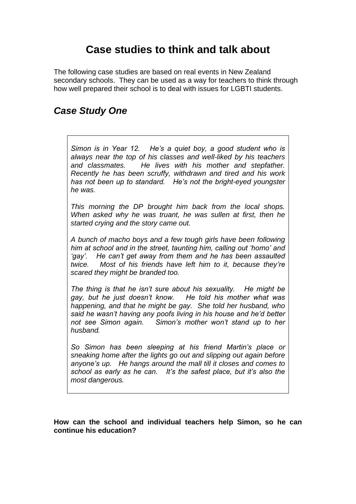# **Case studies to think and talk about**

The following case studies are based on real events in New Zealand secondary schools. They can be used as a way for teachers to think through how well prepared their school is to deal with issues for LGBTI students.

#### *Case Study One*

*Simon is in Year 12. He's a quiet boy, a good student who is always near the top of his classes and well-liked by his teachers and classmates. He lives with his mother and stepfather. Recently he has been scruffy, withdrawn and tired and his work has not been up to standard. He's not the bright-eyed youngster he was.*

*This morning the DP brought him back from the local shops. When asked why he was truant, he was sullen at first, then he started crying and the story came out.*

*A bunch of macho boys and a few tough girls have been following him at school and in the street, taunting him, calling out 'homo' and 'gay'. He can't get away from them and he has been assaulted twice. Most of his friends have left him to it, because they're scared they might be branded too.*

*The thing is that he isn't sure about his sexuality. He might be gay, but he just doesn't know. He told his mother what was happening, and that he might be gay. She told her husband, who said he wasn't having any poofs living in his house and he'd better not see Simon again. Simon's mother won't stand up to her husband.*

*So Simon has been sleeping at his friend Martin's place or sneaking home after the lights go out and slipping out again before anyone's up. He hangs around the mall till it closes and comes to school as early as he can. It's the safest place, but it's also the most dangerous.*

**How can the school and individual teachers help Simon, so he can continue his education?**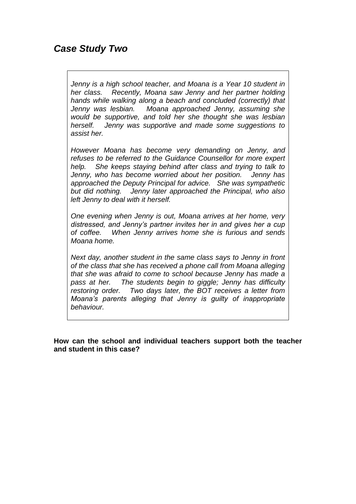# *Case Study Two*

*Jenny is a high school teacher, and Moana is a Year 10 student in her class. Recently, Moana saw Jenny and her partner holding hands while walking along a beach and concluded (correctly) that Jenny was lesbian. Moana approached Jenny, assuming she would be supportive, and told her she thought she was lesbian herself. Jenny was supportive and made some suggestions to assist her.* 

*However Moana has become very demanding on Jenny, and refuses to be referred to the Guidance Counsellor for more expert help. She keeps staying behind after class and trying to talk to Jenny, who has become worried about her position. Jenny has approached the Deputy Principal for advice. She was sympathetic but did nothing. Jenny later approached the Principal, who also left Jenny to deal with it herself.*

*One evening when Jenny is out, Moana arrives at her home, very distressed, and Jenny's partner invites her in and gives her a cup of coffee. When Jenny arrives home she is furious and sends Moana home.* 

*Next day, another student in the same class says to Jenny in front of the class that she has received a phone call from Moana alleging that she was afraid to come to school because Jenny has made a pass at her. The students begin to giggle; Jenny has difficulty restoring order. Two days later, the BOT receives a letter from Moana's parents alleging that Jenny is guilty of inappropriate behaviour.*

**How can the school and individual teachers support both the teacher and student in this case?**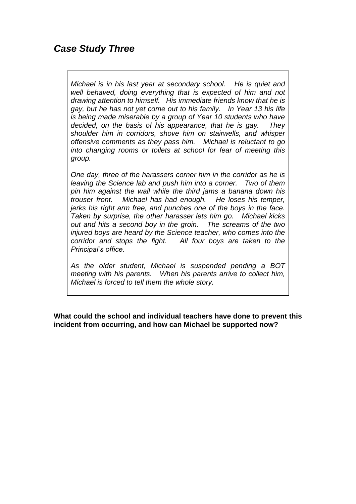# *Case Study Three*

*Michael is in his last year at secondary school. He is quiet and well behaved, doing everything that is expected of him and not drawing attention to himself. His immediate friends know that he is gay, but he has not yet come out to his family. In Year 13 his life is being made miserable by a group of Year 10 students who have decided, on the basis of his appearance, that he is gay. They shoulder him in corridors, shove him on stairwells, and whisper offensive comments as they pass him. Michael is reluctant to go into changing rooms or toilets at school for fear of meeting this group.*

*One day, three of the harassers corner him in the corridor as he is leaving the Science lab and push him into a corner. Two of them pin him against the wall while the third jams a banana down his trouser front. Michael has had enough. He loses his temper, jerks his right arm free, and punches one of the boys in the face. Taken by surprise, the other harasser lets him go. Michael kicks out and hits a second boy in the groin. The screams of the two injured boys are heard by the Science teacher, who comes into the corridor and stops the fight. All four boys are taken to the Principal's office.*

*As the older student, Michael is suspended pending a BOT meeting with his parents. When his parents arrive to collect him, Michael is forced to tell them the whole story.*

**What could the school and individual teachers have done to prevent this incident from occurring, and how can Michael be supported now?**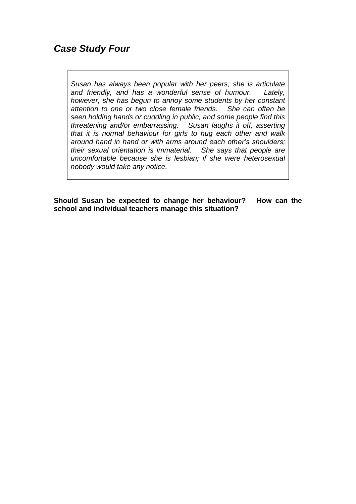# *Case Study Four*

*Susan has always been popular with her peers; she is articulate and friendly, and has a wonderful sense of humour. Lately, however, she has begun to annoy some students by her constant attention to one or two close female friends. She can often be seen holding hands or cuddling in public, and some people find this threatening and/or embarrassing. Susan laughs it off, asserting that it is normal behaviour for girls to hug each other and walk around hand in hand or with arms around each other's shoulders; their sexual orientation is immaterial. She says that people are uncomfortable because she is lesbian; if she were heterosexual nobody would take any notice.*

**Should Susan be expected to change her behaviour? How can the school and individual teachers manage this situation?**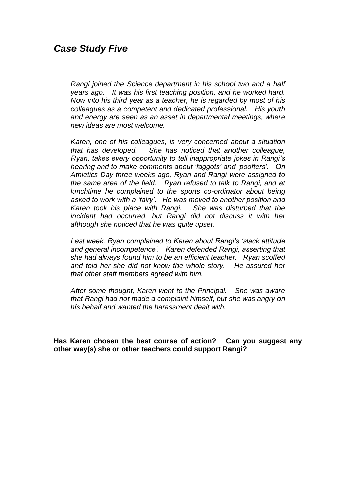# *Case Study Five*

*Rangi joined the Science department in his school two and a half years ago. It was his first teaching position, and he worked hard. Now into his third year as a teacher, he is regarded by most of his colleagues as a competent and dedicated professional. His youth and energy are seen as an asset in departmental meetings, where new ideas are most welcome.*

*Karen, one of his colleagues, is very concerned about a situation that has developed. She has noticed that another colleague, Ryan, takes every opportunity to tell inappropriate jokes in Rangi's hearing and to make comments about 'faggots' and 'poofters'. On Athletics Day three weeks ago, Ryan and Rangi were assigned to the same area of the field. Ryan refused to talk to Rangi, and at lunchtime he complained to the sports co-ordinator about being asked to work with a 'fairy'. He was moved to another position and Karen took his place with Rangi. She was disturbed that the incident had occurred, but Rangi did not discuss it with her although she noticed that he was quite upset.*

*Last week, Ryan complained to Karen about Rangi's 'slack attitude and general incompetence'. Karen defended Rangi, asserting that she had always found him to be an efficient teacher. Ryan scoffed and told her she did not know the whole story. He assured her that other staff members agreed with him.*

*After some thought, Karen went to the Principal. She was aware that Rangi had not made a complaint himself, but she was angry on his behalf and wanted the harassment dealt with.*

**Has Karen chosen the best course of action? Can you suggest any other way(s) she or other teachers could support Rangi?**